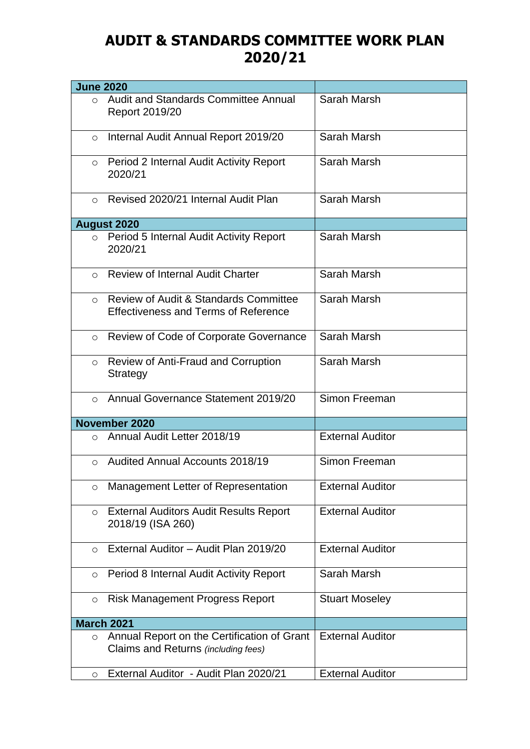## **AUDIT & STANDARDS COMMITTEE WORK PLAN 2020/21**

| <b>June 2020</b> |                                                                                                 |                         |
|------------------|-------------------------------------------------------------------------------------------------|-------------------------|
| $\Omega$         | Audit and Standards Committee Annual<br>Report 2019/20                                          | Sarah Marsh             |
| $\circ$          | Internal Audit Annual Report 2019/20                                                            | Sarah Marsh             |
| $\circ$          | Period 2 Internal Audit Activity Report<br>2020/21                                              | Sarah Marsh             |
| $\bigcirc$       | Revised 2020/21 Internal Audit Plan                                                             | Sarah Marsh             |
|                  | <b>August 2020</b>                                                                              |                         |
|                  | ○ Period 5 Internal Audit Activity Report<br>2020/21                                            | Sarah Marsh             |
|                  | o Review of Internal Audit Charter                                                              | Sarah Marsh             |
| $\Omega$         | <b>Review of Audit &amp; Standards Committee</b><br><b>Effectiveness and Terms of Reference</b> | Sarah Marsh             |
| $\circ$          | Review of Code of Corporate Governance                                                          | Sarah Marsh             |
| $\circ$          | <b>Review of Anti-Fraud and Corruption</b><br>Strategy                                          | Sarah Marsh             |
| $\Omega$         | Annual Governance Statement 2019/20                                                             | Simon Freeman           |
|                  | November 2020                                                                                   |                         |
| $\bigcirc$       | Annual Audit Letter 2018/19                                                                     | <b>External Auditor</b> |
| $\bigcirc$       | <b>Audited Annual Accounts 2018/19</b>                                                          | Simon Freeman           |
| $\circ$          | Management Letter of Representation                                                             | <b>External Auditor</b> |
| $\circ$          | <b>External Auditors Audit Results Report</b><br>2018/19 (ISA 260)                              | <b>External Auditor</b> |
| $\circ$          | External Auditor - Audit Plan 2019/20                                                           | <b>External Auditor</b> |
| $\circ$          | Period 8 Internal Audit Activity Report                                                         | Sarah Marsh             |
| $\circ$          | <b>Risk Management Progress Report</b>                                                          | <b>Stuart Moseley</b>   |
|                  | <b>March 2021</b>                                                                               |                         |
| $\circ$          | Annual Report on the Certification of Grant<br>Claims and Returns (including fees)              | <b>External Auditor</b> |
| $\circ$          | External Auditor - Audit Plan 2020/21                                                           | <b>External Auditor</b> |